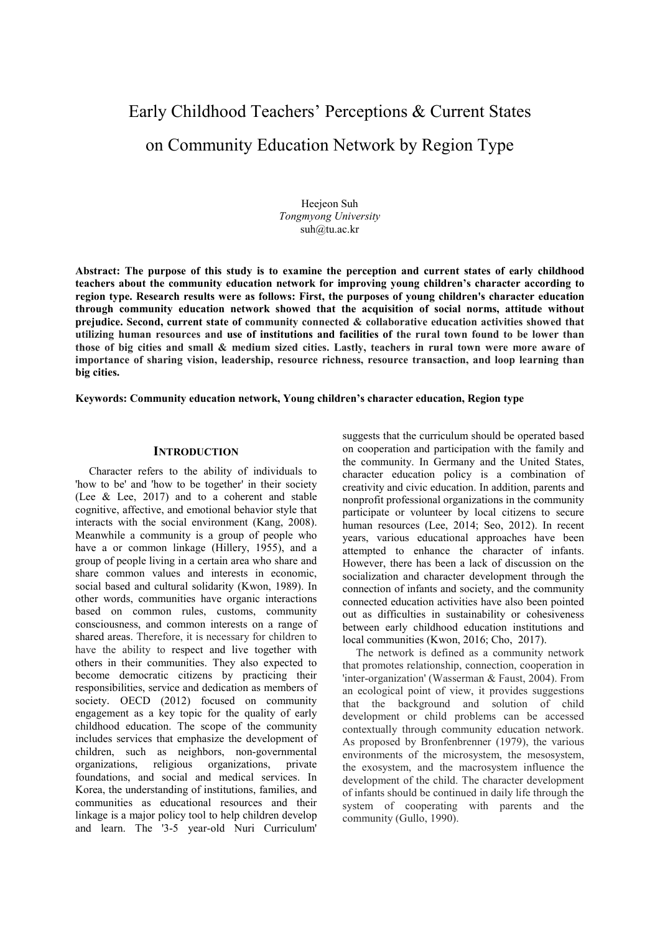# Early Childhood Teachers' Perceptions & Current States on Community Education Network by Region Type

Heejeon Suh *Tongmyong University* suh@tu.ac.kr

**Abstract: The purpose of this study is to examine the perception and current states of early childhood teachers about the community education network for improving young children's character according to region type. Research results were as follows: First, the purposes of young children's character education through community education network showed that the acquisition of social norms, attitude without prejudice. Second, current state of community connected & collaborative education activities showed that utilizing human resources and use of institutions and facilities of the rural town found to be lower than those of big cities and small & medium sized cities. Lastly, teachers in rural town were more aware of importance of sharing vision, leadership, resource richness, resource transaction, and loop learning than big cities.** 

**Keywords: Community education network, Young children's character education, Region type** 

## **INTRODUCTION**

Character refers to the ability of individuals to 'how to be' and 'how to be together' in their society (Lee & Lee, 2017) and to a coherent and stable cognitive, affective, and emotional behavior style that interacts with the social environment (Kang, 2008). Meanwhile a community is a group of people who have a or common linkage (Hillery, 1955), and a group of people living in a certain area who share and share common values and interests in economic, social based and cultural solidarity (Kwon, 1989). In other words, communities have organic interactions based on common rules, customs, community consciousness, and common interests on a range of shared areas. Therefore, it is necessary for children to have the ability to respect and live together with others in their communities. They also expected to become democratic citizens by practicing their responsibilities, service and dedication as members of society. OECD (2012) focused on community engagement as a key topic for the quality of early childhood education. The scope of the community includes services that emphasize the development of children, such as neighbors, non-governmental organizations, religious organizations, private foundations, and social and medical services. In Korea, the understanding of institutions, families, and communities as educational resources and their linkage is a major policy tool to help children develop and learn. The '3-5 year-old Nuri Curriculum'

suggests that the curriculum should be operated based on cooperation and participation with the family and the community. In Germany and the United States, character education policy is a combination of creativity and civic education. In addition, parents and nonprofit professional organizations in the community participate or volunteer by local citizens to secure human resources (Lee, 2014; Seo, 2012). In recent years, various educational approaches have been attempted to enhance the character of infants. However, there has been a lack of discussion on the socialization and character development through the connection of infants and society, and the community connected education activities have also been pointed out as difficulties in sustainability or cohesiveness between early childhood education institutions and local communities (Kwon, 2016; Cho, 2017).

The network is defined as a community network that promotes relationship, connection, cooperation in 'inter-organization' (Wasserman & Faust, 2004). From an ecological point of view, it provides suggestions that the background and solution of child development or child problems can be accessed contextually through community education network. As proposed by Bronfenbrenner (1979), the various environments of the microsystem, the mesosystem, the exosystem, and the macrosystem influence the development of the child. The character development of infants should be continued in daily life through the system of cooperating with parents and the community (Gullo, 1990).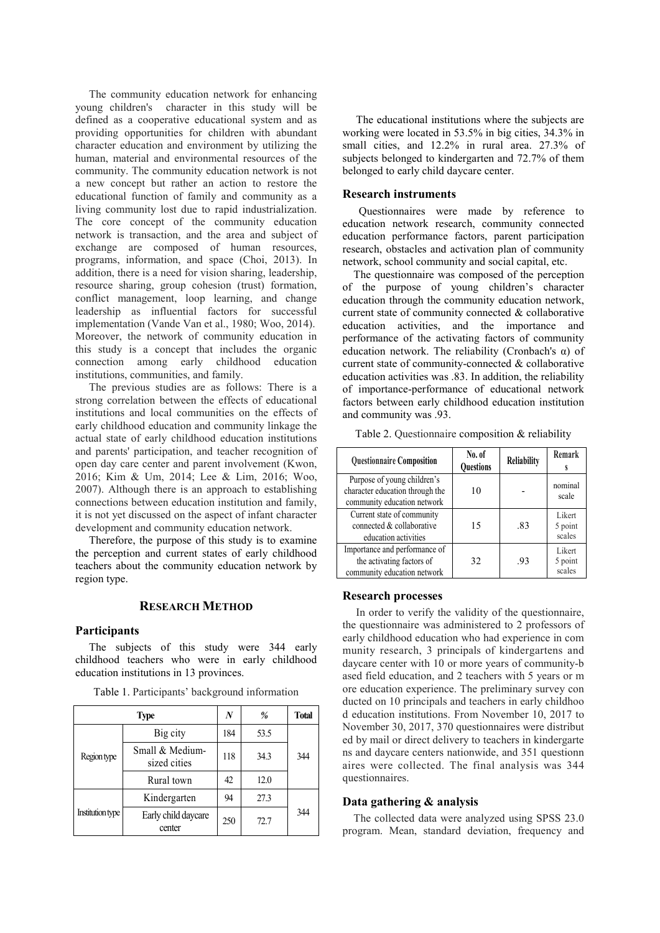The community education network for enhancing young children's character in this study will be defined as a cooperative educational system and as providing opportunities for children with abundant character education and environment by utilizing the human, material and environmental resources of the community. The community education network is not a new concept but rather an action to restore the educational function of family and community as a living community lost due to rapid industrialization. The core concept of the community education network is transaction, and the area and subject of exchange are composed of human resources, programs, information, and space (Choi, 2013). In addition, there is a need for vision sharing, leadership, resource sharing, group cohesion (trust) formation, conflict management, loop learning, and change leadership as influential factors for successful implementation (Vande Van et al., 1980; Woo, 2014). Moreover, the network of community education in this study is a concept that includes the organic connection among early childhood education institutions, communities, and family.

The previous studies are as follows: There is a strong correlation between the effects of educational institutions and local communities on the effects of early childhood education and community linkage the actual state of early childhood education institutions and parents' participation, and teacher recognition of open day care center and parent involvement (Kwon, 2016; Kim & Um, 2014; Lee & Lim, 2016; Woo, 2007). Although there is an approach to establishing connections between education institution and family, it is not yet discussed on the aspect of infant character development and community education network.

Therefore, the purpose of this study is to examine the perception and current states of early childhood teachers about the community education network by region type.

## **RESEARCH METHOD**

## **Participants**

Institution type

The subjects of this study were 344 early childhood teachers who were in early childhood education institutions in 13 provinces.

| Type        |                                 | N   | %    | <b>Total</b> |
|-------------|---------------------------------|-----|------|--------------|
|             | Big city                        | 184 | 53.5 |              |
| Region type | Small & Medium-<br>sized cities | 118 | 34.3 | 344          |

center

Rural town 42 12.0

Kindergarten 94 27.3

72.7

Table 1. Participants' background information

The educational institutions where the subjects are working were located in 53.5% in big cities, 34.3% in small cities, and 12.2% in rural area. 27.3% of subjects belonged to kindergarten and 72.7% of them belonged to early child daycare center.

#### **Research instruments**

 Questionnaires were made by reference to education network research, community connected education performance factors, parent participation research, obstacles and activation plan of community network, school community and social capital, etc.

The questionnaire was composed of the perception of the purpose of young children's character education through the community education network, current state of community connected & collaborative education activities, and the importance and performance of the activating factors of community education network. The reliability (Cronbach's α) of current state of community-connected & collaborative education activities was .83. In addition, the reliability of importance-performance of educational network factors between early childhood education institution and community was .93.

Table 2. Questionnaire composition & reliability

| <b>Questionnaire Composition</b>                                                              | No. of<br>Reliability<br>Questions |     | Remark                      |  |
|-----------------------------------------------------------------------------------------------|------------------------------------|-----|-----------------------------|--|
| Purpose of young children's<br>character education through the<br>community education network | 10                                 |     | nominal<br>scale            |  |
| Current state of community<br>connected & collaborative<br>education activities               | 15                                 | .83 | Likert<br>5 point<br>scales |  |
| Importance and performance of<br>the activating factors of<br>community education network     | 32                                 | .93 | Likert<br>5 point<br>scales |  |

## **Research processes**

In order to verify the validity of the questionnaire, the questionnaire was administered to 2 professors of early childhood education who had experience in com munity research, 3 principals of kindergartens and daycare center with 10 or more years of community-b ased field education, and 2 teachers with 5 years or m ore education experience. The preliminary survey con ducted on 10 principals and teachers in early childhoo d education institutions. From November 10, 2017 to November 30, 2017, 370 questionnaires were distribut ed by mail or direct delivery to teachers in kindergarte ns and daycare centers nationwide, and 351 questionn aires were collected. The final analysis was 344 questionnaires.

#### **Data gathering & analysis**

The collected data were analyzed using SPSS 23.0 program. Mean, standard deviation, frequency and

Early child daycare  $\Big| 250 \Big| 72.7 \Big| 344$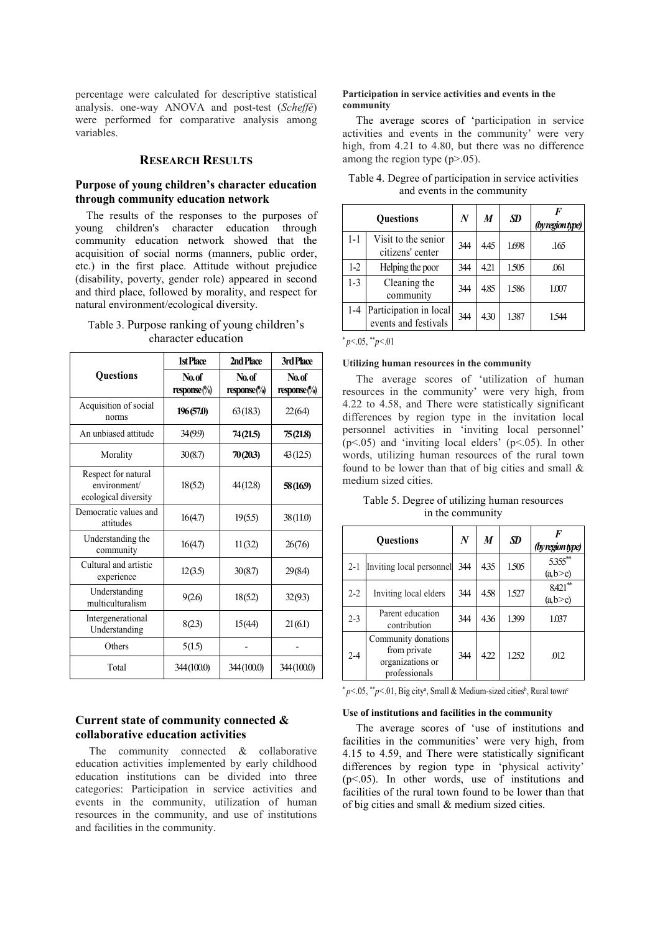percentage were calculated for descriptive statistical analysis. one-way ANOVA and post-test (*Scheffé*) were performed for comparative analysis among variables.

## **RESEARCH RESULTS**

## **Purpose of young children's character education through community education network**

The results of the responses to the purposes of young children's character education through community education network showed that the acquisition of social norms (manners, public order, etc.) in the first place. Attitude without prejudice (disability, poverty, gender role) appeared in second and third place, followed by morality, and respect for natural environment/ecological diversity.

# Table 3. Purpose ranking of young children's character education

|                                                             | 1st Place            | 2nd Place              | 3rd Place<br>No.of<br>$response$ %) |  |
|-------------------------------------------------------------|----------------------|------------------------|-------------------------------------|--|
| <b>Questions</b>                                            | No.of<br>response(%) | No.of<br>$response$ %) |                                     |  |
| Acquisition of social<br>norms                              | 196(57.0)            | 63(183)                | 22(6.4)                             |  |
| An unbiased attitude                                        | 34(99)               | 74 (21.5)              | 75(21.8)                            |  |
| Morality                                                    | 30(8.7)              | 70(20.3)               | 43(12.5)                            |  |
| Respect for natural<br>environment/<br>ecological diversity | 18(52)               | 44(128)                | 58(169)                             |  |
| Democratic values and<br>attitudes                          | 16(4.7)              | 19(5.5)                | 38(11.0)                            |  |
| Understanding the<br>community                              | 16(4.7)              | 11(32)                 | 26(7.6)                             |  |
| Cultural and artistic<br>experience                         | 12(3.5)              | 30(8.7)                | 29(8.4)                             |  |
| Understanding<br>multiculturalism                           | 9(2.6)               | 18(52)                 | 32(93)                              |  |
| Intergenerational<br>Understanding                          | 8(23)                | 15(4.4)                | 21(6.1)                             |  |
| Others                                                      | 5(15)                |                        |                                     |  |
| Total                                                       | 344(100.0)           | 344(100.0)             | 344(100.0)                          |  |

# **Current state of community connected & collaborative education activities**

The community connected & collaborative education activities implemented by early childhood education institutions can be divided into three categories: Participation in service activities and events in the community, utilization of human resources in the community, and use of institutions and facilities in the community.

## **Participation in service activities and events in the community**

The average scores of 'participation in service activities and events in the community' were very high, from 4.21 to 4.80, but there was no difference among the region type  $(p>0.05)$ .

| <b>Questions</b> |                                                | $\boldsymbol{N}$ | M    | SD.   | F<br>(by region type) |
|------------------|------------------------------------------------|------------------|------|-------|-----------------------|
| $1 - 1$          | Visit to the senior<br>citizens' center        | 344              | 4.45 | 1.698 | .165                  |
| $1-2$            | Helping the poor                               | 344              | 4.21 | 1.505 | .061                  |
| $1 - 3$          | Cleaning the<br>community                      | 344              | 4.85 | 1586  | 1.007                 |
| $1-4$            | Participation in local<br>events and festivals | 344              | 4.30 | 1387  | 1.544                 |

Table 4. Degree of participation in service activities and events in the community

 $*_{p<.05,*p<.01}$ 

#### **Utilizing human resources in the community**

The average scores of 'utilization of human resources in the community' were very high, from 4.22 to 4.58, and There were statistically significant differences by region type in the invitation local personnel activities in 'inviting local personnel'  $(p<.05)$  and 'inviting local elders'  $(p<.05)$ . In other words, utilizing human resources of the rural town found to be lower than that of big cities and small & medium sized cities.

| Table 5. Degree of utilizing human resources |  |
|----------------------------------------------|--|
| in the community                             |  |

| <b>Ouestions</b> |                                                                          | $\boldsymbol{N}$ | M    | <b>SD</b> | (by region type)     |
|------------------|--------------------------------------------------------------------------|------------------|------|-----------|----------------------|
| $2 - 1$          | Inviting local personnel                                                 | 344              | 435  | 1.505     | 5.355**<br>(a,b>c)   |
| $2 - 2$          | Inviting local elders                                                    | 344              | 4.58 | 1.527     | $8.421**$<br>(a,b>c) |
| $2 - 3$          | Parent education<br>contribution                                         | 344              | 436  | 1399      | 1.037                |
| $2 - 4$          | Community donations<br>from private<br>organizations or<br>professionals | 344              | 422  | 1.252     | .012                 |

\*  $p$ <.05, \*\* $p$ <.01, Big city<sup>a</sup>, Small & Medium-sized cities<sup>b</sup>, Rural town<sup>c</sup>

#### **Use of institutions and facilities in the community**

The average scores of 'use of institutions and facilities in the communities' were very high, from 4.15 to 4.59, and There were statistically significant differences by region type in 'physical activity' (p<.05). In other words, use of institutions and facilities of the rural town found to be lower than that of big cities and small & medium sized cities.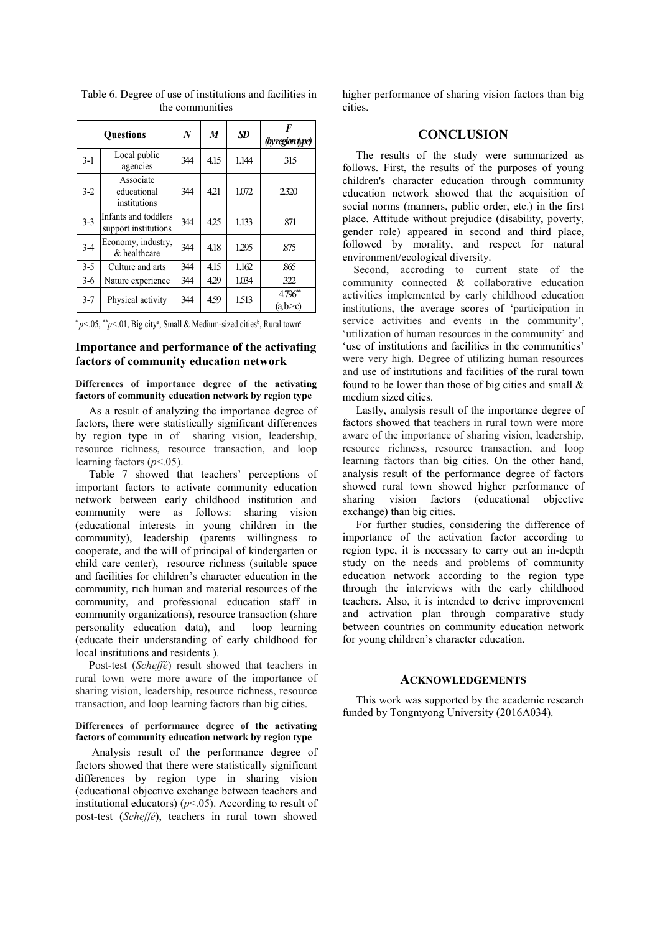| <b>Ouestions</b> |                                              | $\boldsymbol{N}$ | M    | <b>SD</b> | F<br>(by region type) |
|------------------|----------------------------------------------|------------------|------|-----------|-----------------------|
| $3-1$            | Local public<br>agencies                     | 344              | 4.15 | 1.144     | 315                   |
| $3 - 2$          | Associate<br>educational<br>institutions     | 344              | 4.21 | 1.072     | 2.320                 |
| $3 - 3$          | Infants and toddlers<br>support institutions | 344              | 4.25 | 1.133     | .871                  |
| $3 - 4$          | Economy, industry,<br>& healthcare           | 344              | 4.18 | 1.295     | .875                  |
| $3 - 5$          | Culture and arts                             | 344              | 4.15 | 1.162     | .865                  |
| $3-6$            | Nature experience                            | 344              | 429  | 1.034     | 322                   |
| $3 - 7$          | Physical activity                            | 344              | 4.59 | 1.513     | $4.796**$<br>(a,b>c)  |

 Table 6. Degree of use of institutions and facilities in the communities

\*  $p$ <.05, \*\* $p$ <.01, Big city<sup>a</sup>, Small & Medium-sized cities<sup>b</sup>, Rural town<sup>c</sup>

# **Importance and performance of the activating factors of community education network**

## **Differences of importance degree of the activating factors of community education network by region type**

As a result of analyzing the importance degree of factors, there were statistically significant differences by region type in of sharing vision, leadership, resource richness, resource transaction, and loop learning factors (*p*<.05).

Table 7 showed that teachers' perceptions of important factors to activate community education network between early childhood institution and community were as follows: sharing vision (educational interests in young children in the community), leadership (parents willingness to cooperate, and the will of principal of kindergarten or child care center), resource richness (suitable space and facilities for children's character education in the community, rich human and material resources of the community, and professional education staff in community organizations), resource transaction (share personality education data), and loop learning (educate their understanding of early childhood for local institutions and residents ).

Post-test (*Scheffé*) result showed that teachers in rural town were more aware of the importance of sharing vision, leadership, resource richness, resource transaction, and loop learning factors than big cities.

#### **Differences of performance degree of the activating factors of community education network by region type**

 Analysis result of the performance degree of factors showed that there were statistically significant differences by region type in sharing vision (educational objective exchange between teachers and institutional educators)  $(p<.05)$ . According to result of post-test (*Scheffé*), teachers in rural town showed higher performance of sharing vision factors than big cities.

# **CONCLUSION**

The results of the study were summarized as follows. First, the results of the purposes of young children's character education through community education network showed that the acquisition of social norms (manners, public order, etc.) in the first place. Attitude without prejudice (disability, poverty, gender role) appeared in second and third place, followed by morality, and respect for natural environment/ecological diversity.

Second, accroding to current state of the community connected & collaborative education activities implemented by early childhood education institutions, the average scores of 'participation in service activities and events in the community', 'utilization of human resources in the community' and 'use of institutions and facilities in the communities' were very high. Degree of utilizing human resources and use of institutions and facilities of the rural town found to be lower than those of big cities and small  $\&$ medium sized cities.

Lastly, analysis result of the importance degree of factors showed that teachers in rural town were more aware of the importance of sharing vision, leadership, resource richness, resource transaction, and loop learning factors than big cities. On the other hand, analysis result of the performance degree of factors showed rural town showed higher performance of sharing vision factors (educational objective exchange) than big cities.

For further studies, considering the difference of importance of the activation factor according to region type, it is necessary to carry out an in-depth study on the needs and problems of community education network according to the region type through the interviews with the early childhood teachers. Also, it is intended to derive improvement and activation plan through comparative study between countries on community education network for young children's character education.

## **ACKNOWLEDGEMENTS**

This work was supported by the academic research funded by Tongmyong University (2016A034).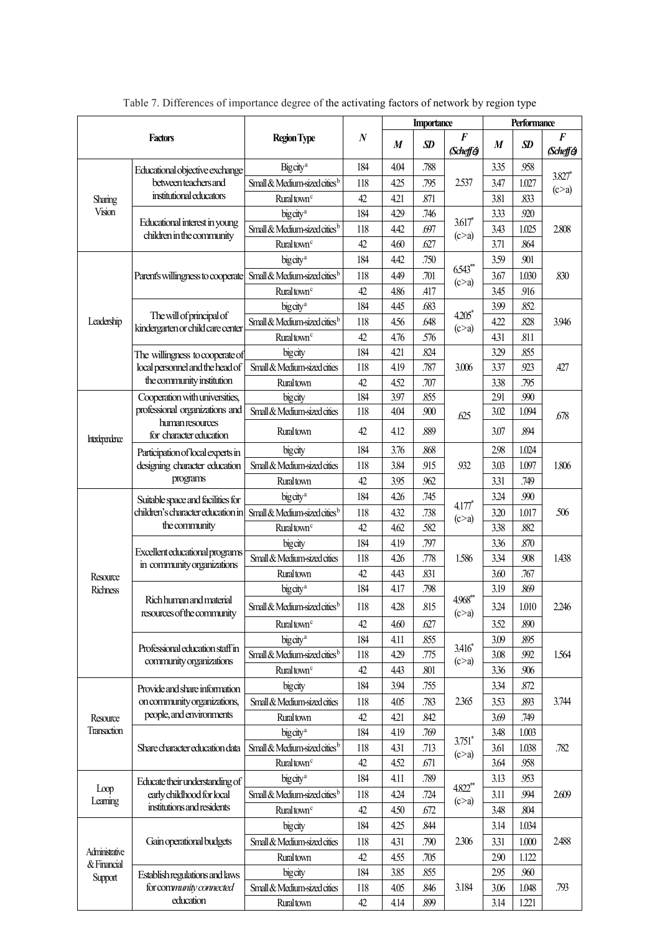|                      |                                                                        |                                                                   |                  | <b>Importance</b> |              |                               | Performance      |               |                               |
|----------------------|------------------------------------------------------------------------|-------------------------------------------------------------------|------------------|-------------------|--------------|-------------------------------|------------------|---------------|-------------------------------|
| <b>Factors</b>       |                                                                        | <b>Region Type</b>                                                | $\boldsymbol{N}$ | $\boldsymbol{M}$  | <b>SD</b>    | $\boldsymbol{F}$<br>(Scheffé) | $\boldsymbol{M}$ | <b>SD</b>     | $\boldsymbol{F}$<br>(Scheffe) |
|                      | Educational objective exchange                                         | Big city <sup>a</sup>                                             | 184              | 4.04              | .788         |                               | 3.35             | .958          | 3.827*                        |
|                      | between teachers and                                                   | Small & Medium-sized cities <sup>b</sup>                          | 118              | 4.25              | .795         | 2.537                         | 3.47             | 1.027         | (c>a)                         |
| Sharing              | institutional educators                                                | Ruraltown <sup>c</sup>                                            | 42               | 4.21              | .871         |                               | 3.81             | .833          |                               |
| Vision               | Educational interest in young                                          | bigcity <sup>a</sup>                                              | 184              | 4.29              | .746         | $3.617*$                      | 3.33             | .920          | 2.808                         |
|                      | children in the community                                              | Small & Medium-sized cities <sup>b</sup>                          | 118              | 4.42              | .697         | (c>a)                         | 3.43             | 1.025         |                               |
|                      |                                                                        | Rural town <sup>c</sup>                                           | 42               | 4.60              | .627         |                               | 3.71             | .864          |                               |
|                      |                                                                        | bigcity <sup>a</sup>                                              | 184              | 4.42              | .750         | 6.543**                       | 3.59             | .901          | .830                          |
|                      | Parent's willingness to cooperate                                      | Small & Medium-sized cities <sup>b</sup>                          | 118              | 4.49              | .701         | (c>a)                         | 3.67             | 1.030         |                               |
|                      |                                                                        | Rural town <sup>c</sup>                                           | 42               | 4.86              | .417         |                               | 3.45             | 916           |                               |
|                      | The will of principal of                                               | bigcity <sup>a</sup>                                              | 184              | 4.45              | .683         | 4.205*                        | 3.99             | .852          |                               |
| Leadership           | kindergarten or child care center                                      | Small & Medium-sized cities <sup>b</sup>                          | 118              | 4.56              | .648         | (c>a)                         | 4.22             | .828          | 3.946                         |
|                      |                                                                        | Rural town <sup>c</sup>                                           | 42               | 4.76              | .576         |                               | 4.31             | .811          |                               |
|                      | The willingness to cooperate of                                        | bigcity                                                           | 184              | 4.21              | .824         |                               | 3.29             | .855          |                               |
|                      | local personnel and the head of                                        | Small & Medium-sized cities                                       | 118              | 4.19              | .787         | 3.006                         | 3.37             | 923           | .427                          |
|                      | the community institution                                              | Ruraltown                                                         | 42               | 4.52              | .707         |                               | 3.38             | .795          |                               |
|                      | Cooperation with universities,<br>professional organizations and       | bigcity<br>Small & Medium-sized cities                            | 184              | 3.97              | .855         |                               | 2.91             | .990          |                               |
|                      | human resources                                                        | Ruraltown                                                         | 118<br>42        | 4.04<br>4.12      | .900<br>.889 | .625                          | 3.02<br>3.07     | 1.094<br>.894 | .678                          |
| Interdependence      | for character education                                                |                                                                   |                  |                   |              |                               |                  |               |                               |
|                      | Participation of local experts in                                      | bigcity                                                           | 184              | 3.76              | .868         |                               | 2.98             | 1.024         |                               |
|                      | designing character education<br>programs                              | Small & Medium-sized cities                                       | 118              | 3.84<br>3.95      | .915<br>.962 | 932                           | 3.03<br>3.31     | 1.097<br>.749 | 1.806                         |
|                      |                                                                        | <b>Rural</b> town                                                 | 42               |                   |              |                               |                  |               |                               |
|                      | Suitable space and facilities for<br>children's character education in | big city <sup>a</sup><br>Small & Medium-sized cities <sup>b</sup> | 184              | 4.26              | .745         | 4.177*                        | 3.24             | .990          | .506                          |
|                      | the community                                                          |                                                                   | 118<br>42        | 4.32<br>4.62      | .738<br>.582 | (c>a)                         | 3.20<br>3.38     | 1.017<br>.882 |                               |
|                      | Excellent educational programs<br>in community organizations           | Ruraltown <sup>c</sup><br>bigcity                                 | 184              | 4.19              | .797         | 1.586                         | 3.36             | .870          | 1.438                         |
|                      |                                                                        | Small & Medium-sized cities                                       | 118              | 4.26              | .778         |                               | 3.34             | .908          |                               |
|                      |                                                                        | <b>Rural</b> town                                                 | 42               | 4.43              | .831         |                               | 3.60             | .767          |                               |
| Resource<br>Richness | Rich human and material<br>resources of the community                  | bigcity <sup>a</sup>                                              | 184              | 4.17              | .798         |                               | 3.19             | .869          | 2.246                         |
|                      |                                                                        | Small & Medium-sized cities <sup>b</sup>                          | 118              | 4.28              | .815         | 4.968**                       | 3.24             | 1.010         |                               |
|                      |                                                                        | Rural town <sup>c</sup>                                           | 42               | 4.60              | .627         | (c>a)                         | 3.52             | .890          |                               |
|                      |                                                                        | big city <sup>a</sup>                                             | 184              | 4.11              | .855         |                               | 3.09             | .895          |                               |
|                      | Professional education staff in                                        | Small & Medium-sized cities <sup>b</sup>                          | 118              | 4.29              | .775         | $3.416*$                      | 3.08             | .992          | 1.564                         |
|                      | community organizations                                                | Ruraltown <sup>c</sup>                                            | 42               | 4.43              | .801         | (c>a)                         | 3.36             | .906          |                               |
|                      | Provide and share information                                          | bigcity                                                           | 184              | 3.94              | .755         |                               | 3.34             | .872          |                               |
|                      | on community organizations,                                            | Small & Medium-sized cities                                       | 118              | 4.05              | .783         | 2.365                         | 3.53             | .893          | 3.744                         |
| Resource             | people, and environments                                               | <b>Rural</b> town                                                 | 42               | 4.21              | .842         |                               | 3.69             | .749          |                               |
| <b>Transaction</b>   |                                                                        | bigcity <sup>a</sup>                                              | 184              | 4.19              | .769         |                               | 3.48             | 1.003         |                               |
|                      | Share character education data                                         | Small & Medium-sized cities <sup>b</sup>                          | 118              | 4.31              | .713         | $3.751*$                      | 3.61             | 1.038         | .782                          |
|                      |                                                                        | Rural town <sup>c</sup>                                           | 42               | 4.52              | .671         | (c>a)                         | 3.64             | .958          |                               |
|                      | Educate their understanding of                                         | bigcity <sup>a</sup>                                              | 184              | 4.11              | .789         |                               | 3.13             | .953          |                               |
| Loop                 | early childhood for local                                              | Small & Medium-sized cities <sup>b</sup>                          | 118              | 4.24              | .724         | 4.822**                       | 3.11             | 994           | 2.609                         |
| Learning             | institutions and residents                                             | Rural town <sup>c</sup>                                           | 42               | 4.50              | .672         | (c>a)                         | 3.48             | .804          |                               |
|                      |                                                                        | bigcity                                                           | 184              | 4.25              | .844         |                               | 3.14             | 1.034         |                               |
|                      | Gain operational budgets                                               | Small & Medium-sized cities                                       | 118              | 4.31              | .790         | 2.306                         | 3.31             | 1.000         | 2.488                         |
| Administrative       |                                                                        | <b>Rural</b> town                                                 | 42               | 4.55              | .705         |                               | 2.90             | 1.122         |                               |
| & Financial          | Establish regulations and laws                                         | bigcity                                                           | 184              | 3.85              | .855         |                               | 2.95             | .960          |                               |
| Support              | for community connected                                                | Small & Medium-sized cities                                       | 118              | 4.05              | .846         | 3.184                         | 3.06             | 1.048         | .793                          |
|                      | education                                                              | <b>Rural</b> town                                                 | 42               | 4.14              | .899         |                               | 3.14             | 1.221         |                               |

Table 7. Differences of importance degree of the activating factors of network by region type